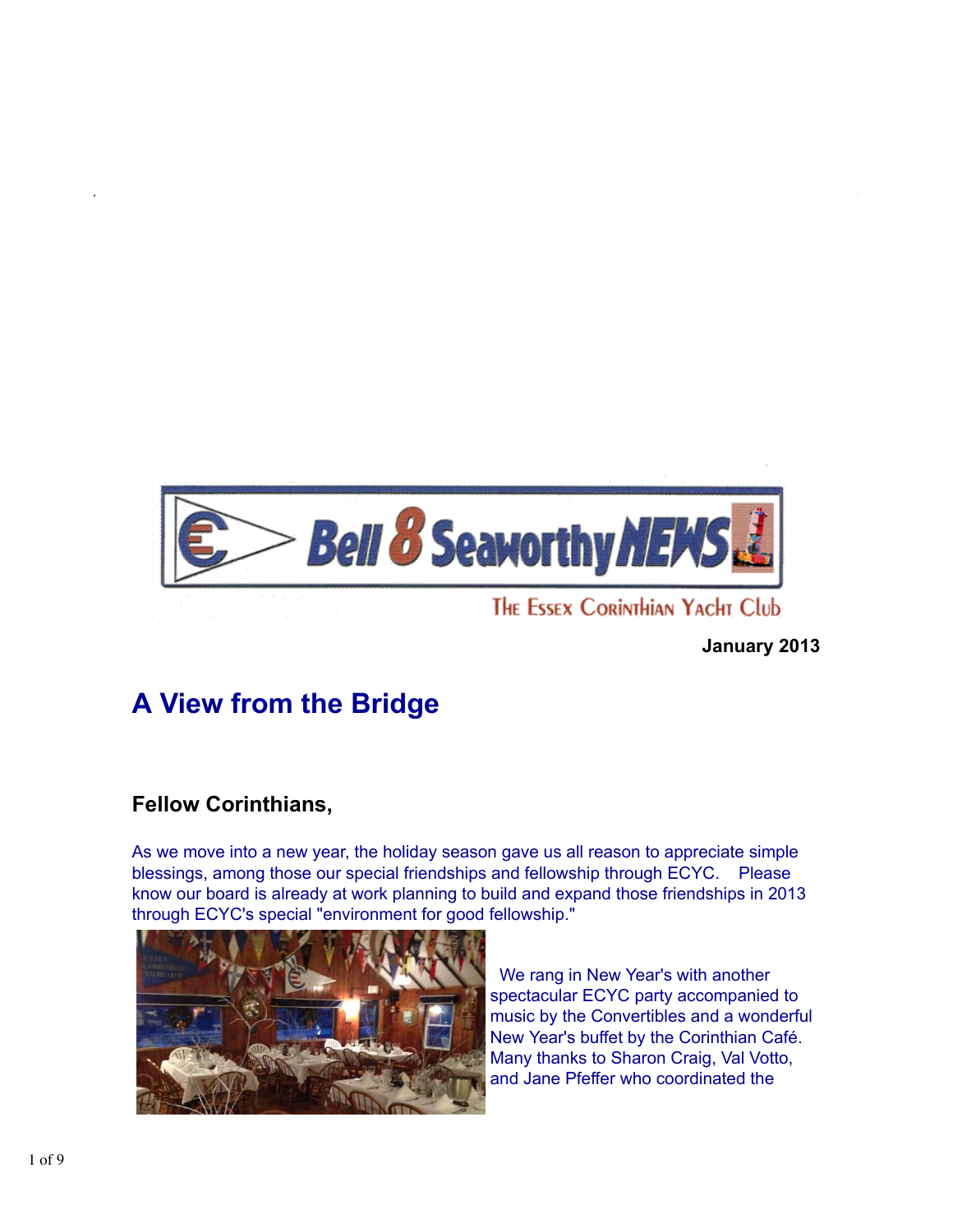

**January 2013**

# **A View from the Bridge**

# **Fellow Corinthians,**

As we move into a new year, the holiday season gave us all reason to appreciate simple blessings, among those our special friendships and fellowship through ECYC. Please know our board is already at work planning to build and expand those friendships in 2013 through ECYC's special "environment for good fellowship."



 We rang in New Year's with another spectacular ECYC party accompanied to music by the Convertibles and a wonderful New Year's buffet by the Corinthian Café. Many thanks to Sharon Craig, Val Votto, and Jane Pfeffer who coordinated the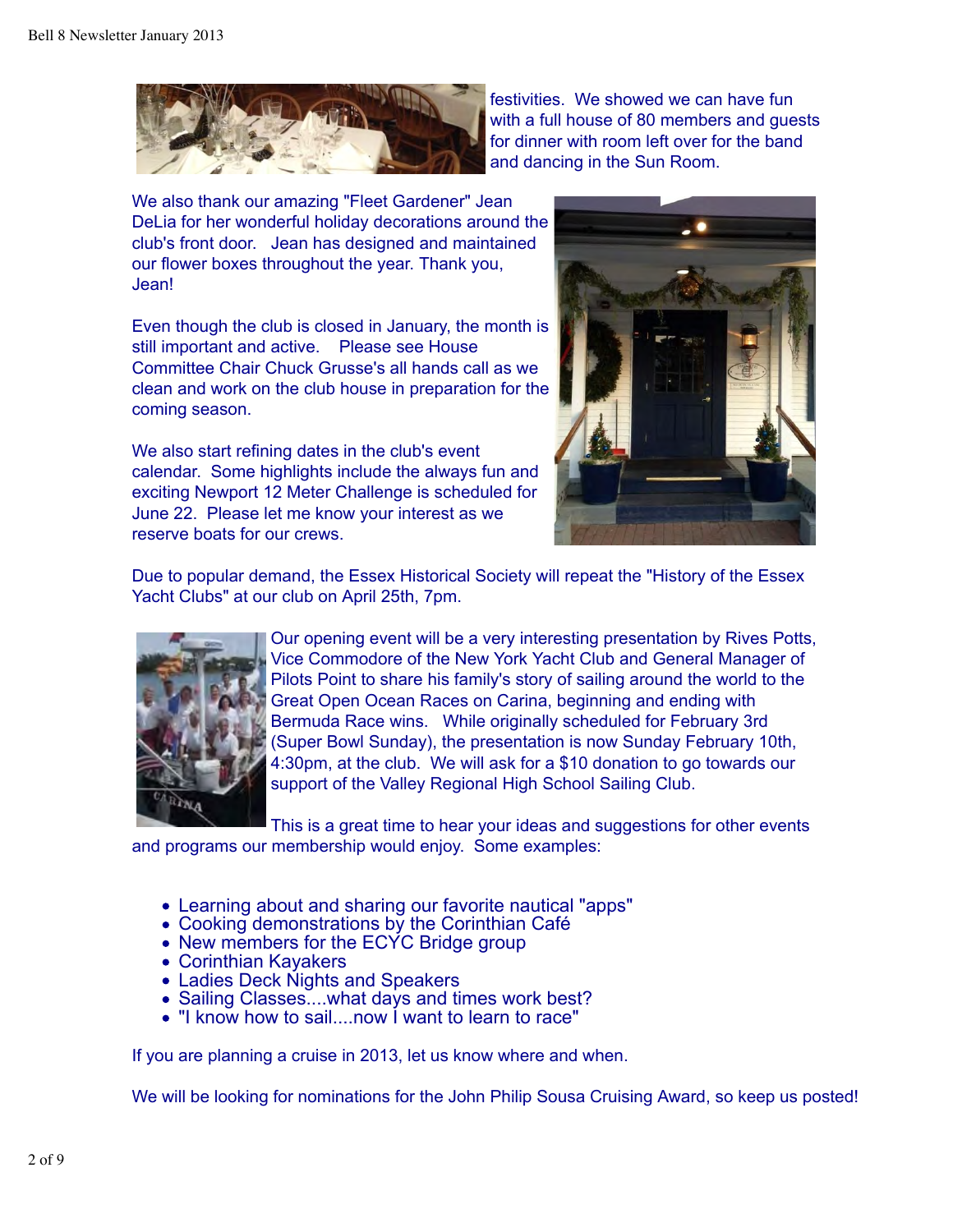

festivities. We showed we can have fun with a full house of 80 members and guests for dinner with room left over for the band and dancing in the Sun Room.

We also thank our amazing "Fleet Gardener" Jean DeLia for her wonderful holiday decorations around the club's front door. Jean has designed and maintained our flower boxes throughout the year. Thank you, Jean!

Even though the club is closed in January, the month is still important and active. Please see House Committee Chair Chuck Grusse's all hands call as we clean and work on the club house in preparation for the coming season.

We also start refining dates in the club's event calendar. Some highlights include the always fun and exciting Newport 12 Meter Challenge is scheduled for June 22. Please let me know your interest as we reserve boats for our crews.



Due to popular demand, the Essex Historical Society will repeat the "History of the Essex Yacht Clubs" at our club on April 25th, 7pm.



Our opening event will be a very interesting presentation by Rives Potts, Vice Commodore of the New York Yacht Club and General Manager of Pilots Point to share his family's story of sailing around the world to the Great Open Ocean Races on Carina, beginning and ending with Bermuda Race wins. While originally scheduled for February 3rd (Super Bowl Sunday), the presentation is now Sunday February 10th, 4:30pm, at the club. We will ask for a \$10 donation to go towards our support of the Valley Regional High School Sailing Club.

This is a great time to hear your ideas and suggestions for other events and programs our membership would enjoy. Some examples:

- Learning about and sharing our favorite nautical "apps"
- Cooking demonstrations by the Corinthian Café
- New members for the ECYC Bridge group
- Corinthian Kayakers
- Ladies Deck Nights and Speakers
- Sailing Classes....what days and times work best?
- "I know how to sail....now I want to learn to race"

If you are planning a cruise in 2013, let us know where and when.

We will be looking for nominations for the John Philip Sousa Cruising Award, so keep us posted!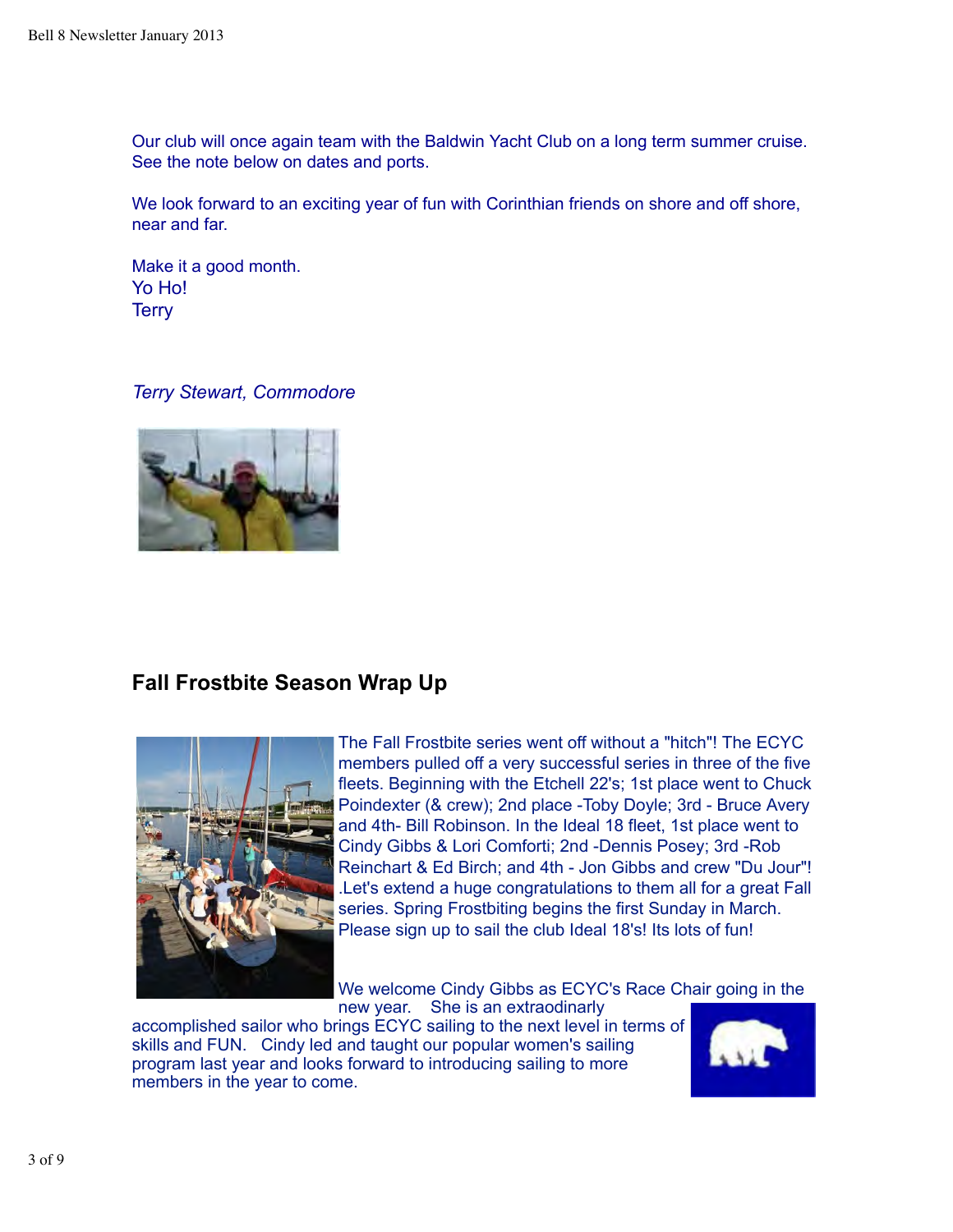Our club will once again team with the Baldwin Yacht Club on a long term summer cruise. See the note below on dates and ports.

We look forward to an exciting year of fun with Corinthian friends on shore and off shore, near and far.

Make it a good month. Yo Ho! **Terry** 

### *Terry Stewart, Commodore*



# **Fall Frostbite Season Wrap Up**



The Fall Frostbite series went off without a "hitch"! The ECYC members pulled off a very successful series in three of the five fleets. Beginning with the Etchell 22's; 1st place went to Chuck Poindexter (& crew); 2nd place -Toby Doyle; 3rd - Bruce Avery and 4th- Bill Robinson. In the Ideal 18 fleet, 1st place went to Cindy Gibbs & Lori Comforti; 2nd -Dennis Posey; 3rd -Rob Reinchart & Ed Birch; and 4th - Jon Gibbs and crew "Du Jour"! .Let's extend a huge congratulations to them all for a great Fall series. Spring Frostbiting begins the first Sunday in March. Please sign up to sail the club Ideal 18's! Its lots of fun!

We welcome Cindy Gibbs as ECYC's Race Chair going in the new year. She is an extraodinarly

accomplished sailor who brings ECYC sailing to the next level in terms of skills and FUN. Cindy led and taught our popular women's sailing program last year and looks forward to introducing sailing to more members in the year to come.

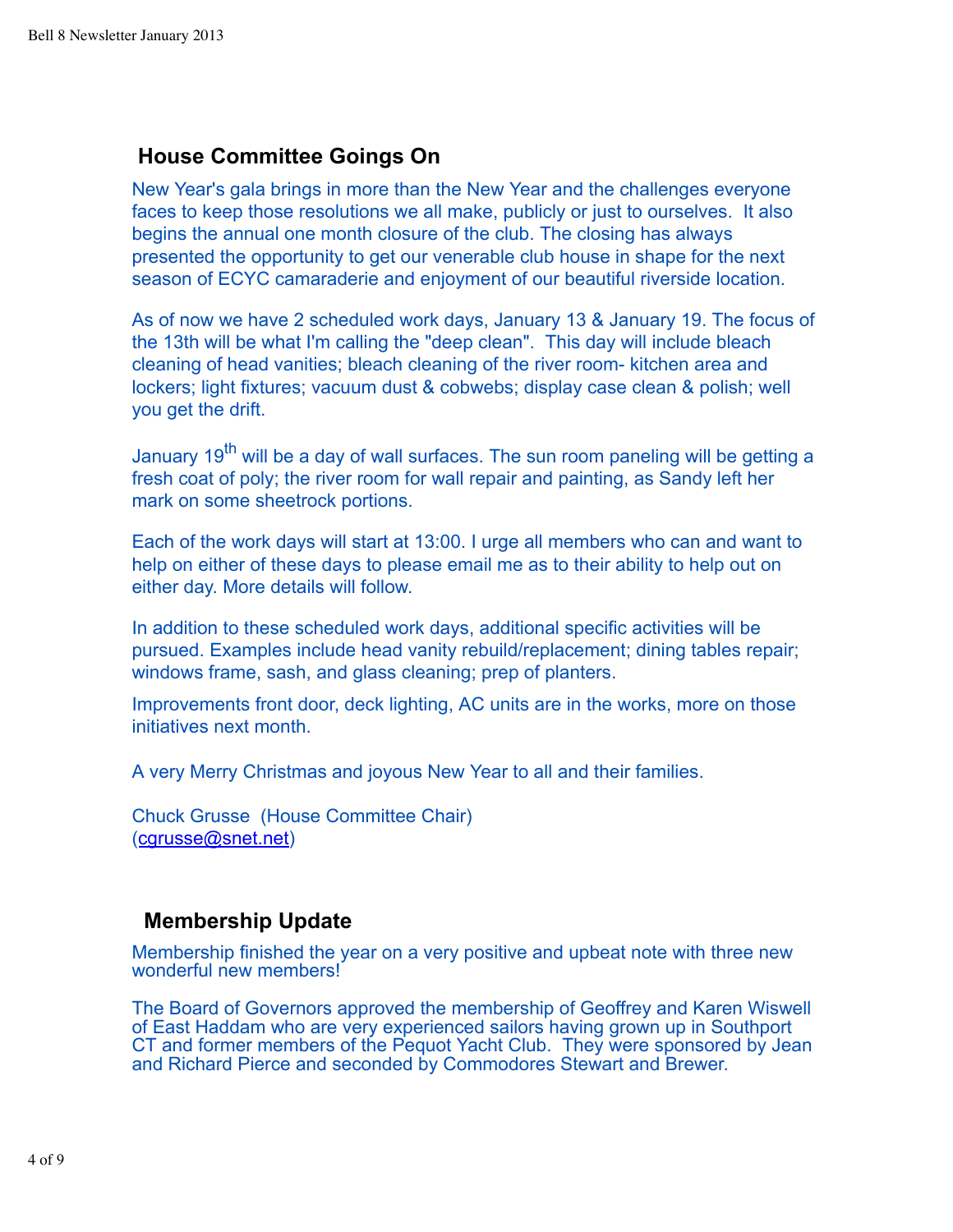# **House Committee Goings On**

New Year's gala brings in more than the New Year and the challenges everyone faces to keep those resolutions we all make, publicly or just to ourselves. It also begins the annual one month closure of the club. The closing has always presented the opportunity to get our venerable club house in shape for the next season of ECYC camaraderie and enjoyment of our beautiful riverside location.

As of now we have 2 scheduled work days, January 13 & January 19. The focus of the 13th will be what I'm calling the "deep clean". This day will include bleach cleaning of head vanities; bleach cleaning of the river room- kitchen area and lockers; light fixtures; vacuum dust & cobwebs; display case clean & polish; well you get the drift.

January 19<sup>th</sup> will be a day of wall surfaces. The sun room paneling will be getting a fresh coat of poly; the river room for wall repair and painting, as Sandy left her mark on some sheetrock portions.

Each of the work days will start at 13:00. I urge all members who can and want to help on either of these days to please email me as to their ability to help out on either day. More details will follow.

In addition to these scheduled work days, additional specific activities will be pursued. Examples include head vanity rebuild/replacement; dining tables repair; windows frame, sash, and glass cleaning; prep of planters.

Improvements front door, deck lighting, AC units are in the works, more on those initiatives next month.

A very Merry Christmas and joyous New Year to all and their families.

Chuck Grusse (House Committee Chair) (cgrusse@snet.net)

# **Membership Update**

Membership finished the year on a very positive and upbeat note with three new wonderful new members!

The Board of Governors approved the membership of Geoffrey and Karen Wiswell of East Haddam who are very experienced sailors having grown up in Southport CT and former members of the Pequot Yacht Club. They were sponsored by Jean and Richard Pierce and seconded by Commodores Stewart and Brewer.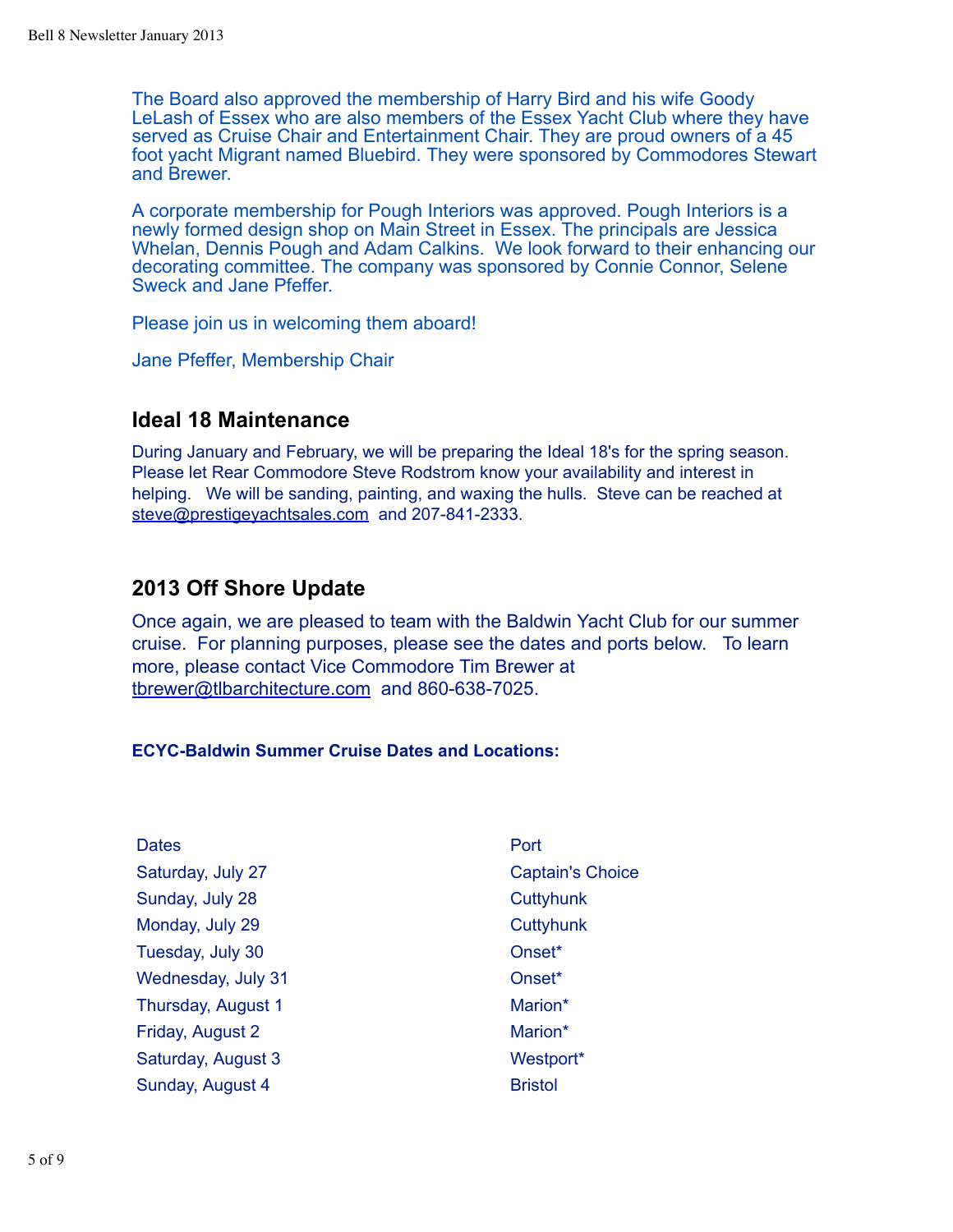The Board also approved the membership of Harry Bird and his wife Goody LeLash of Essex who are also members of the Essex Yacht Club where they have served as Cruise Chair and Entertainment Chair. They are proud owners of a 45 foot yacht Migrant named Bluebird. They were sponsored by Commodores Stewart and Brewer.

A corporate membership for Pough Interiors was approved. Pough Interiors is a newly formed design shop on Main Street in Essex. The principals are Jessica Whelan, Dennis Pough and Adam Calkins. We look forward to their enhancing our decorating committee. The company was sponsored by Connie Connor, Selene Sweck and Jane Pfeffer.

Please join us in welcoming them aboard!

Jane Pfeffer, Membership Chair

### **Ideal 18 Maintenance**

During January and February, we will be preparing the Ideal 18's for the spring season. Please let Rear Commodore Steve Rodstrom know your availability and interest in helping. We will be sanding, painting, and waxing the hulls. Steve can be reached at steve@prestigeyachtsales.com and 207-841-2333.

### **2013 Off Shore Update**

Once again, we are pleased to team with the Baldwin Yacht Club for our summer cruise. For planning purposes, please see the dates and ports below. To learn more, please contact Vice Commodore Tim Brewer at tbrewer@tlbarchitecture.com and 860-638-7025.

### **ECYC-Baldwin Summer Cruise Dates and Locations:**

| <b>Dates</b>       | Port                    |
|--------------------|-------------------------|
| Saturday, July 27  | <b>Captain's Choice</b> |
| Sunday, July 28    | Cuttyhunk               |
| Monday, July 29    | Cuttyhunk               |
| Tuesday, July 30   | Onset <sup>*</sup>      |
| Wednesday, July 31 | Onset <sup>*</sup>      |
| Thursday, August 1 | Marion*                 |
| Friday, August 2   | Marion*                 |
| Saturday, August 3 | Westport*               |
| Sunday, August 4   | <b>Bristol</b>          |
|                    |                         |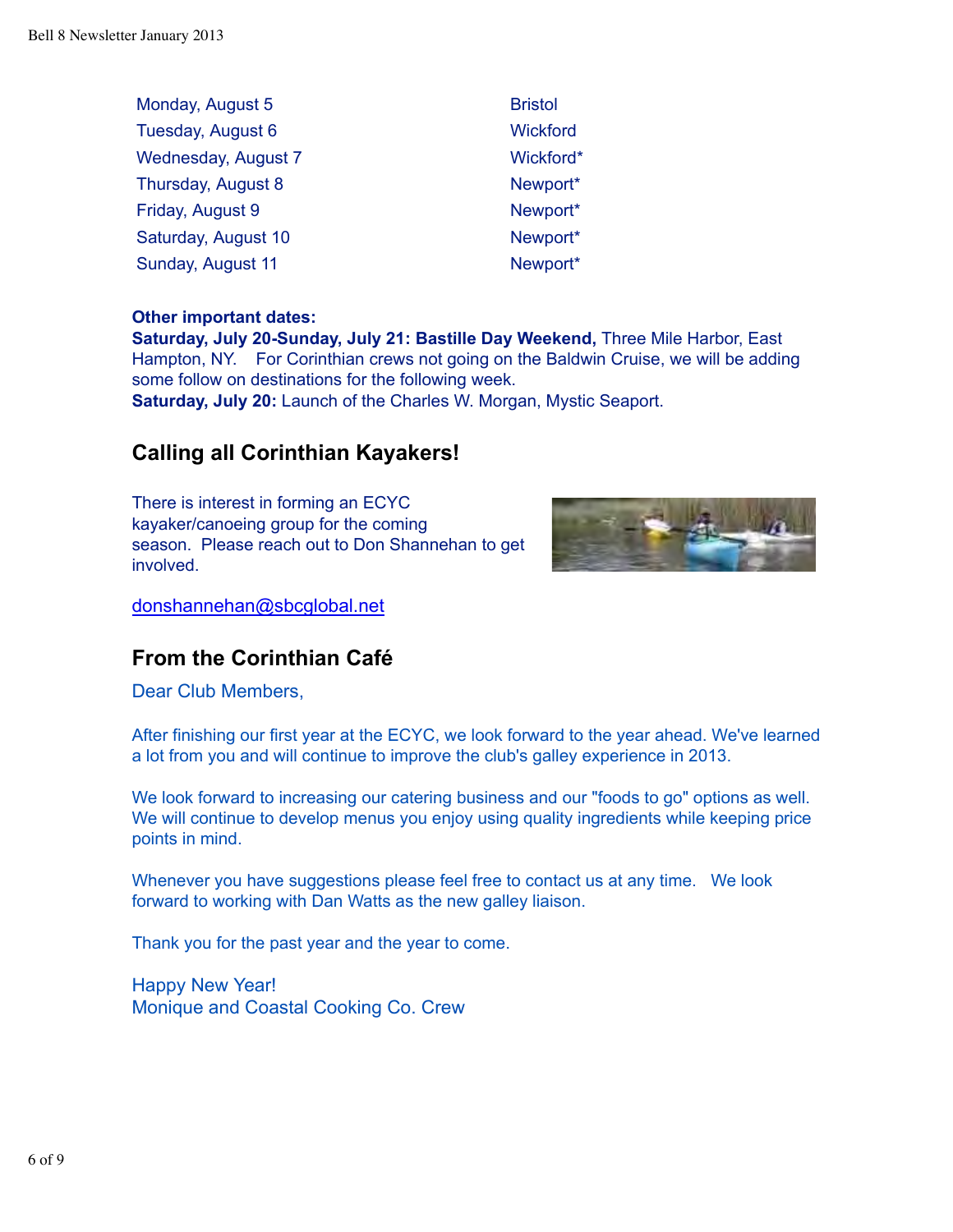| Monday, August 5    | <b>Bristol</b>  |
|---------------------|-----------------|
| Tuesday, August 6   | <b>Wickford</b> |
| Wednesday, August 7 | Wickford*       |
| Thursday, August 8  | Newport*        |
| Friday, August 9    | Newport*        |
| Saturday, August 10 | Newport*        |
| Sunday, August 11   | Newport*        |

### **Other important dates:**

**Saturday, July 20-Sunday, July 21: Bastille Day Weekend,** Three Mile Harbor, East Hampton, NY. For Corinthian crews not going on the Baldwin Cruise, we will be adding some follow on destinations for the following week.

**Saturday, July 20:** Launch of the Charles W. Morgan, Mystic Seaport.

# **Calling all Corinthian Kayakers!**

There is interest in forming an ECYC kayaker/canoeing group for the coming season. Please reach out to Don Shannehan to get involved.



donshannehan@sbcglobal.net

# **From the Corinthian Café**

Dear Club Members,

After finishing our first year at the ECYC, we look forward to the year ahead. We've learned a lot from you and will continue to improve the club's galley experience in 2013.

We look forward to increasing our catering business and our "foods to go" options as well. We will continue to develop menus you enjoy using quality ingredients while keeping price points in mind.

Whenever you have suggestions please feel free to contact us at any time. We look forward to working with Dan Watts as the new galley liaison.

Thank you for the past year and the year to come.

Happy New Year! Monique and Coastal Cooking Co. Crew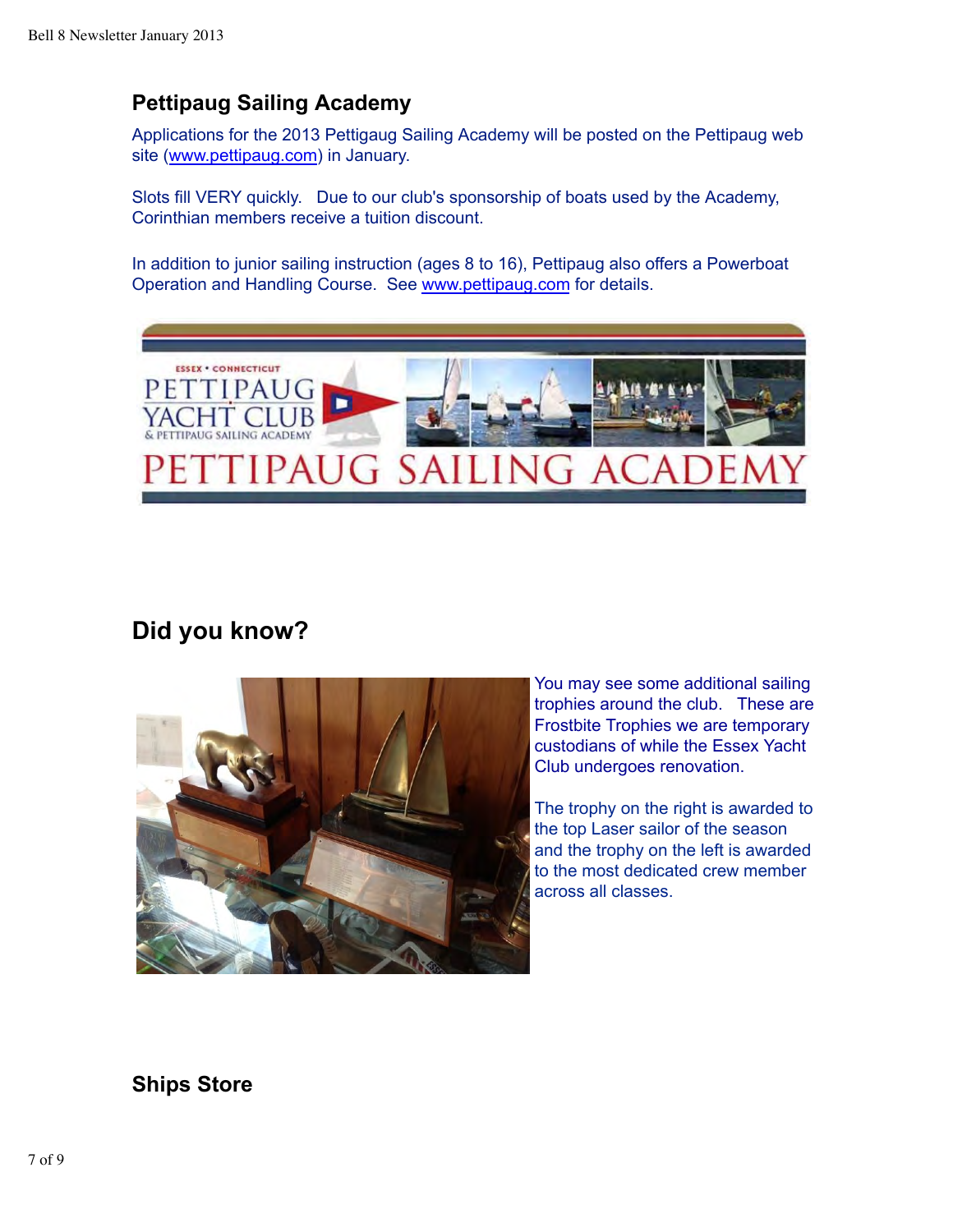# **Pettipaug Sailing Academy**

Applications for the 2013 Pettigaug Sailing Academy will be posted on the Pettipaug web site (www.pettipaug.com) in January.

Slots fill VERY quickly. Due to our club's sponsorship of boats used by the Academy, Corinthian members receive a tuition discount.

In addition to junior sailing instruction (ages 8 to 16), Pettipaug also offers a Powerboat Operation and Handling Course. See www.pettipaug.com for details.



# **Did you know?**



You may see some additional sailing trophies around the club. These are Frostbite Trophies we are temporary custodians of while the Essex Yacht Club undergoes renovation.

The trophy on the right is awarded to the top Laser sailor of the season and the trophy on the left is awarded to the most dedicated crew member across all classes.

# **Ships Store**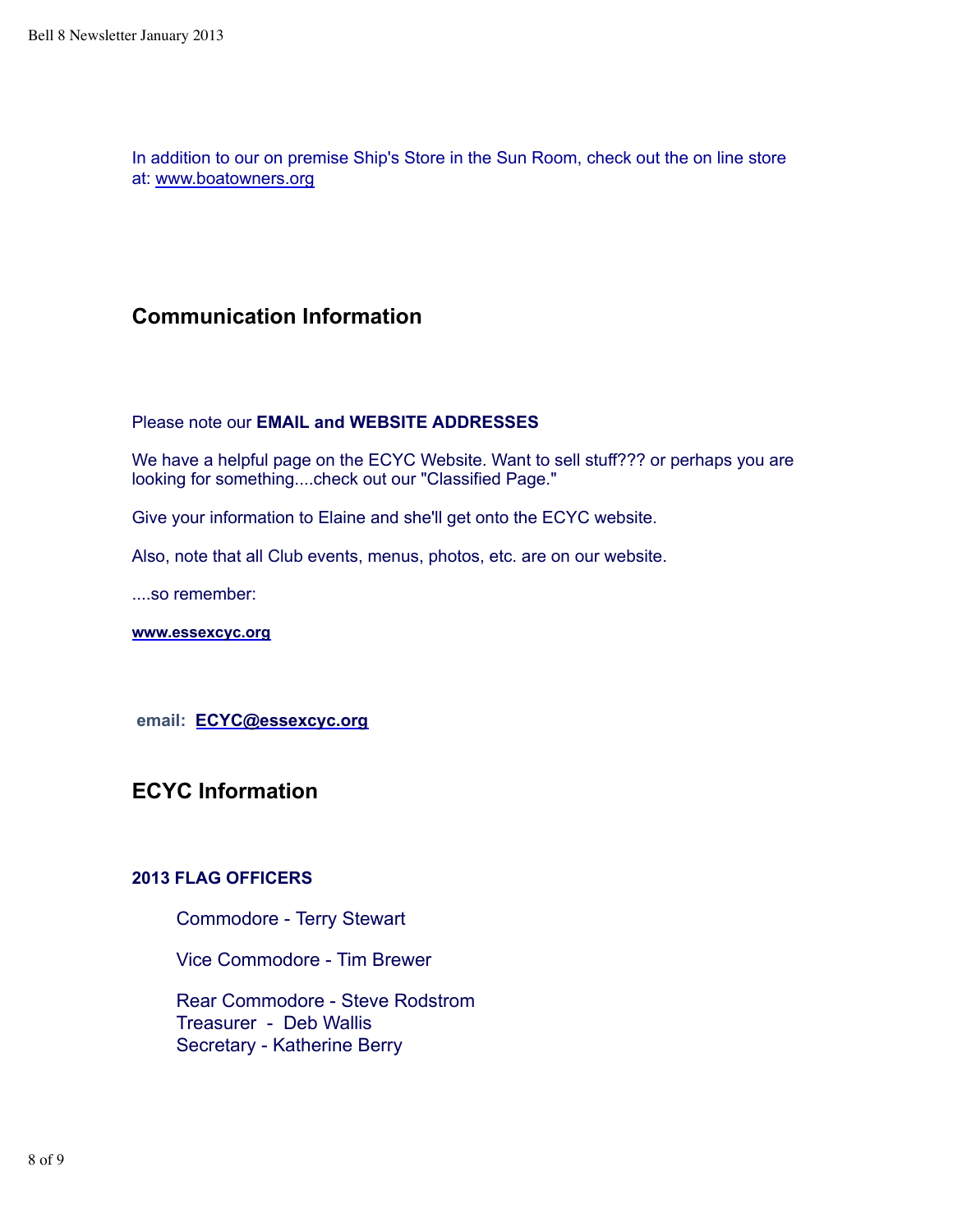In addition to our on premise Ship's Store in the Sun Room, check out the on line store at: www.boatowners.org

# **Communication Information**

### Please note our **EMAIL and WEBSITE ADDRESSES**

We have a helpful page on the ECYC Website. Want to sell stuff??? or perhaps you are looking for something....check out our "Classified Page."

Give your information to Elaine and she'll get onto the ECYC website.

Also, note that all Club events, menus, photos, etc. are on our website.

....so remember:

**www.essexcyc.org**

 **email: ECYC@essexcyc.org**

**ECYC Information**

### **2013 FLAG OFFICERS**

Commodore - Terry Stewart

Vice Commodore - Tim Brewer

 Rear Commodore - Steve Rodstrom Treasurer - Deb Wallis Secretary - Katherine Berry